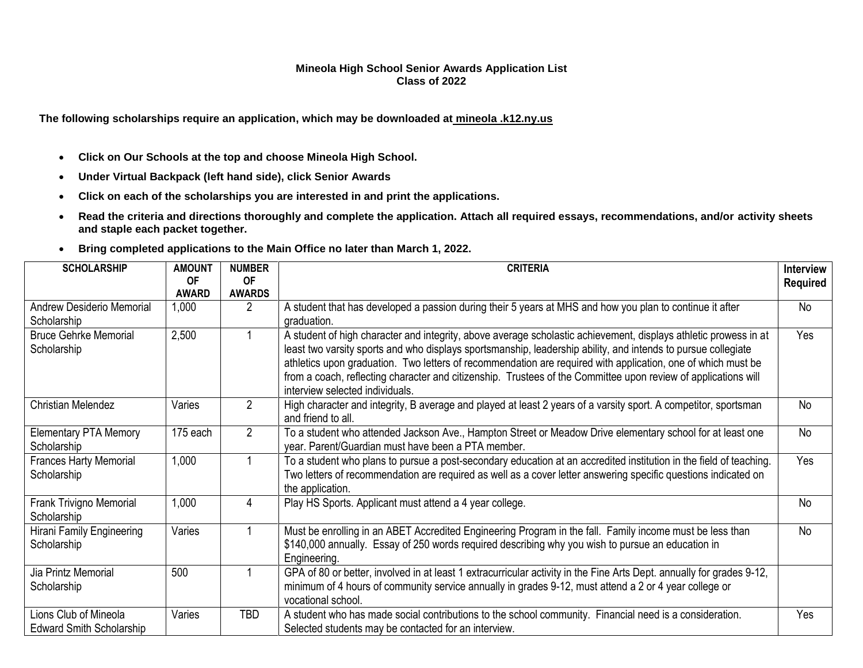## **Mineola High School Senior Awards Application List Class of 2022**

**The following scholarships require an application, which may be downloaded at mineola .k12.ny.us**

- **Click on Our Schools at the top and choose Mineola High School.**
- **Under Virtual Backpack (left hand side), click Senior Awards**
- **Click on each of the scholarships you are interested in and print the applications.**
- **Read the criteria and directions thoroughly and complete the application. Attach all required essays, recommendations, and/or activity sheets and staple each packet together.**
- **Bring completed applications to the Main Office no later than March 1, 2022.**

| <b>SCHOLARSHIP</b>                                       | <b>AMOUNT</b>             | <b>NUMBER</b>              | <b>CRITERIA</b>                                                                                                                                                                                                                                                                                                                                                                                                                                                                                        | <b>Interview</b> |
|----------------------------------------------------------|---------------------------|----------------------------|--------------------------------------------------------------------------------------------------------------------------------------------------------------------------------------------------------------------------------------------------------------------------------------------------------------------------------------------------------------------------------------------------------------------------------------------------------------------------------------------------------|------------------|
|                                                          | <b>OF</b><br><b>AWARD</b> | <b>OF</b><br><b>AWARDS</b> |                                                                                                                                                                                                                                                                                                                                                                                                                                                                                                        | <b>Required</b>  |
| <b>Andrew Desiderio Memorial</b><br>Scholarship          | 1,000                     | 2                          | A student that has developed a passion during their 5 years at MHS and how you plan to continue it after<br>graduation.                                                                                                                                                                                                                                                                                                                                                                                | <b>No</b>        |
| <b>Bruce Gehrke Memorial</b><br>Scholarship              | 2,500                     |                            | A student of high character and integrity, above average scholastic achievement, displays athletic prowess in at<br>least two varsity sports and who displays sportsmanship, leadership ability, and intends to pursue collegiate<br>athletics upon graduation. Two letters of recommendation are required with application, one of which must be<br>from a coach, reflecting character and citizenship. Trustees of the Committee upon review of applications will<br>interview selected individuals. | Yes              |
| <b>Christian Melendez</b>                                | Varies                    | $\overline{2}$             | High character and integrity, B average and played at least 2 years of a varsity sport. A competitor, sportsman<br>and friend to all.                                                                                                                                                                                                                                                                                                                                                                  | No               |
| <b>Elementary PTA Memory</b><br>Scholarship              | 175 each                  | $\overline{2}$             | To a student who attended Jackson Ave., Hampton Street or Meadow Drive elementary school for at least one<br>year. Parent/Guardian must have been a PTA member.                                                                                                                                                                                                                                                                                                                                        | No               |
| <b>Frances Harty Memorial</b><br>Scholarship             | 1,000                     |                            | To a student who plans to pursue a post-secondary education at an accredited institution in the field of teaching.<br>Two letters of recommendation are required as well as a cover letter answering specific questions indicated on<br>the application.                                                                                                                                                                                                                                               | Yes              |
| Frank Trivigno Memorial<br>Scholarship                   | 1,000                     | 4                          | Play HS Sports. Applicant must attend a 4 year college.                                                                                                                                                                                                                                                                                                                                                                                                                                                | <b>No</b>        |
| Hirani Family Engineering<br>Scholarship                 | Varies                    |                            | Must be enrolling in an ABET Accredited Engineering Program in the fall. Family income must be less than<br>\$140,000 annually. Essay of 250 words required describing why you wish to pursue an education in<br>Engineering.                                                                                                                                                                                                                                                                          | No.              |
| Jia Printz Memorial<br>Scholarship                       | 500                       |                            | GPA of 80 or better, involved in at least 1 extracurricular activity in the Fine Arts Dept. annually for grades 9-12,<br>minimum of 4 hours of community service annually in grades 9-12, must attend a 2 or 4 year college or<br>vocational school.                                                                                                                                                                                                                                                   |                  |
| Lions Club of Mineola<br><b>Edward Smith Scholarship</b> | Varies                    | TBD                        | A student who has made social contributions to the school community. Financial need is a consideration.<br>Selected students may be contacted for an interview.                                                                                                                                                                                                                                                                                                                                        | Yes              |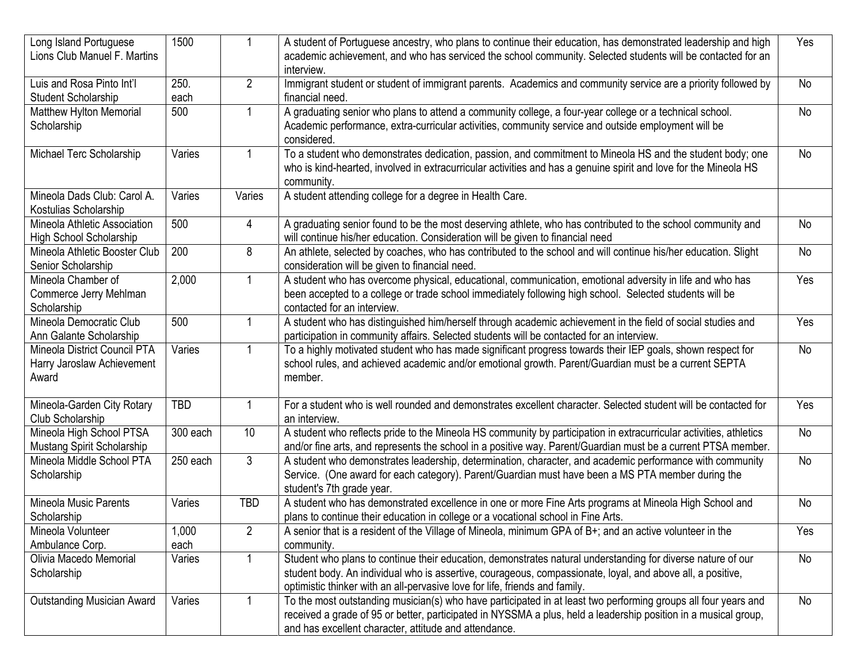| Long Island Portuguese<br>Lions Club Manuel F. Martins              | 1500          |                | A student of Portuguese ancestry, who plans to continue their education, has demonstrated leadership and high<br>academic achievement, and who has serviced the school community. Selected students will be contacted for an<br>interview.                                                               | Yes       |
|---------------------------------------------------------------------|---------------|----------------|----------------------------------------------------------------------------------------------------------------------------------------------------------------------------------------------------------------------------------------------------------------------------------------------------------|-----------|
| Luis and Rosa Pinto Int'l<br>Student Scholarship                    | 250.<br>each  | $\overline{2}$ | Immigrant student or student of immigrant parents. Academics and community service are a priority followed by<br>financial need.                                                                                                                                                                         | No        |
| <b>Matthew Hylton Memorial</b><br>Scholarship                       | 500           |                | A graduating senior who plans to attend a community college, a four-year college or a technical school.<br>Academic performance, extra-curricular activities, community service and outside employment will be<br>considered.                                                                            | <b>No</b> |
| Michael Terc Scholarship                                            | Varies        | 1              | To a student who demonstrates dedication, passion, and commitment to Mineola HS and the student body; one<br>who is kind-hearted, involved in extracurricular activities and has a genuine spirit and love for the Mineola HS<br>community.                                                              | No        |
| Mineola Dads Club: Carol A.<br>Kostulias Scholarship                | Varies        | Varies         | A student attending college for a degree in Health Care.                                                                                                                                                                                                                                                 |           |
| Mineola Athletic Association<br>High School Scholarship             | 500           | 4              | A graduating senior found to be the most deserving athlete, who has contributed to the school community and<br>will continue his/her education. Consideration will be given to financial need                                                                                                            | <b>No</b> |
| Mineola Athletic Booster Club<br>Senior Scholarship                 | 200           | 8              | An athlete, selected by coaches, who has contributed to the school and will continue his/her education. Slight<br>consideration will be given to financial need.                                                                                                                                         | <b>No</b> |
| Mineola Chamber of<br>Commerce Jerry Mehlman<br>Scholarship         | 2,000         | $\mathbf{1}$   | A student who has overcome physical, educational, communication, emotional adversity in life and who has<br>been accepted to a college or trade school immediately following high school. Selected students will be<br>contacted for an interview.                                                       | Yes       |
| Mineola Democratic Club<br>Ann Galante Scholarship                  | 500           |                | A student who has distinguished him/herself through academic achievement in the field of social studies and<br>participation in community affairs. Selected students will be contacted for an interview.                                                                                                 | Yes       |
| Mineola District Council PTA<br>Harry Jaroslaw Achievement<br>Award | Varies        |                | To a highly motivated student who has made significant progress towards their IEP goals, shown respect for<br>school rules, and achieved academic and/or emotional growth. Parent/Guardian must be a current SEPTA<br>member.                                                                            | No        |
| Mineola-Garden City Rotary<br>Club Scholarship                      | <b>TBD</b>    | 1              | For a student who is well rounded and demonstrates excellent character. Selected student will be contacted for<br>an interview.                                                                                                                                                                          | Yes       |
| Mineola High School PTSA<br>Mustang Spirit Scholarship              | 300 each      | 10             | A student who reflects pride to the Mineola HS community by participation in extracurricular activities, athletics<br>and/or fine arts, and represents the school in a positive way. Parent/Guardian must be a current PTSA member.                                                                      | No        |
| Mineola Middle School PTA<br>Scholarship                            | 250 each      | 3              | A student who demonstrates leadership, determination, character, and academic performance with community<br>Service. (One award for each category). Parent/Guardian must have been a MS PTA member during the<br>student's 7th grade year.                                                               | No        |
| Mineola Music Parents<br>Scholarship                                | Varies        | <b>TBD</b>     | A student who has demonstrated excellence in one or more Fine Arts programs at Mineola High School and<br>plans to continue their education in college or a vocational school in Fine Arts.                                                                                                              | No        |
| Mineola Volunteer<br>Ambulance Corp.                                | 1,000<br>each | $\overline{2}$ | A senior that is a resident of the Village of Mineola, minimum GPA of B+; and an active volunteer in the<br>community.                                                                                                                                                                                   | Yes       |
| Olivia Macedo Memorial<br>Scholarship                               | Varies        |                | Student who plans to continue their education, demonstrates natural understanding for diverse nature of our<br>student body. An individual who is assertive, courageous, compassionate, loyal, and above all, a positive,<br>optimistic thinker with an all-pervasive love for life, friends and family. | No        |
| <b>Outstanding Musician Award</b>                                   | Varies        | $\mathbf{1}$   | To the most outstanding musician(s) who have participated in at least two performing groups all four years and<br>received a grade of 95 or better, participated in NYSSMA a plus, held a leadership position in a musical group,<br>and has excellent character, attitude and attendance.               | No        |